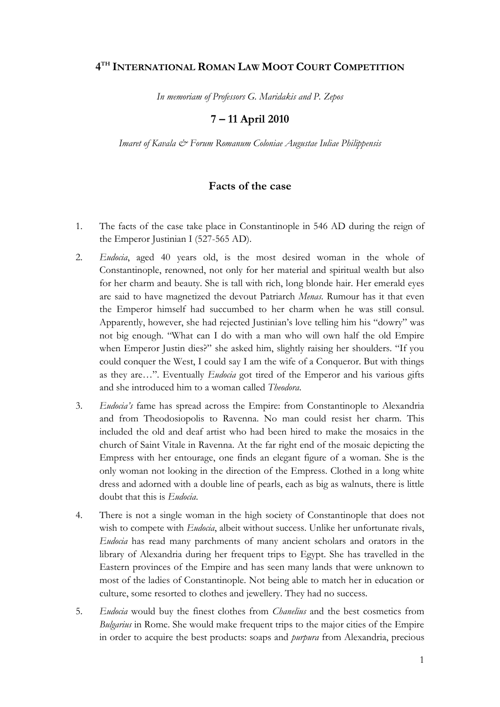# **4 TH INTERNATIONAL ROMAN LAW MOOT COURT COMPETITION**

*In memoriam of Professors G. Maridakis and P. Zepos*

# **7 – 11 April 2010**

*Imaret of Kavala & Forum Romanum Coloniae Augustae Iuliae Philippensis*

### **Facts of the case**

- 1. The facts of the case take place in Constantinople in 546 AD during the reign of the Emperor Justinian I (527-565 AD).
- 2. *Eudocia*, aged 40 years old, is the most desired woman in the whole of Constantinople, renowned, not only for her material and spiritual wealth but also for her charm and beauty. She is tall with rich, long blonde hair. Her emerald eyes are said to have magnetized the devout Patriarch *Menas*. Rumour has it that even the Emperor himself had succumbed to her charm when he was still consul. Apparently, however, she had rejected Justinian"s love telling him his "dowry" was not big enough. "What can I do with a man who will own half the old Empire when Emperor Justin dies?" she asked him, slightly raising her shoulders. "If you could conquer the West, I could say I am the wife of a Conqueror. But with things as they are…". Eventually *Eudocia* got tired of the Emperor and his various gifts and she introduced him to a woman called *Theodora*.
- 3. *Eudocia's* fame has spread across the Empire: from Constantinople to Alexandria and from Theodosiopolis to Ravenna. No man could resist her charm. This included the old and deaf artist who had been hired to make the mosaics in the church of Saint Vitale in Ravenna. At the far right end of the mosaic depicting the Empress with her entourage, one finds an elegant figure of a woman. She is the only woman not looking in the direction of the Empress. Clothed in a long white dress and adorned with a double line of pearls, each as big as walnuts, there is little doubt that this is *Eudocia*.
- 4. There is not a single woman in the high society of Constantinople that does not wish to compete with *Eudocia*, albeit without success. Unlike her unfortunate rivals, *Eudocia* has read many parchments of many ancient scholars and orators in the library of Alexandria during her frequent trips to Egypt. She has travelled in the Eastern provinces of the Empire and has seen many lands that were unknown to most of the ladies of Constantinople. Not being able to match her in education or culture, some resorted to clothes and jewellery. They had no success.
- 5. *Eudocia* would buy the finest clothes from *Chanelius* and the best cosmetics from *Bulgarius* in Rome. She would make frequent trips to the major cities of the Empire in order to acquire the best products: soaps and *purpura* from Alexandria, precious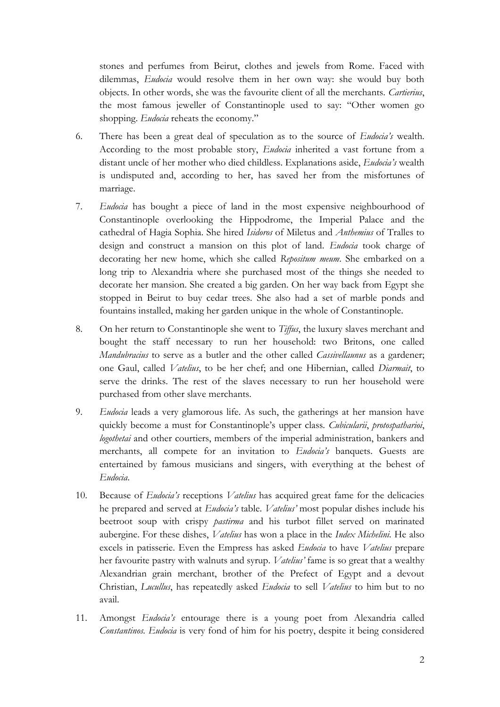stones and perfumes from Beirut, clothes and jewels from Rome. Faced with dilemmas, *Eudocia* would resolve them in her own way: she would buy both objects. In other words, she was the favourite client of all the merchants. *Cartierius*, the most famous jeweller of Constantinople used to say: "Other women go shopping. *Eudocia* reheats the economy."

- 6. There has been a great deal of speculation as to the source of *Eudocia's* wealth. According to the most probable story, *Eudocia* inherited a vast fortune from a distant uncle of her mother who died childless. Explanations aside, *Eudocia's* wealth is undisputed and, according to her, has saved her from the misfortunes of marriage.
- 7. *Eudocia* has bought a piece of land in the most expensive neighbourhood of Constantinople overlooking the Hippodrome, the Imperial Palace and the cathedral of Hagia Sophia. She hired *Isidoros* of Miletus and *Anthemius* of Tralles to design and construct a mansion on this plot of land. *Eudocia* took charge of decorating her new home, which she called *Repositum meum*. She embarked on a long trip to Alexandria where she purchased most of the things she needed to decorate her mansion. She created a big garden. On her way back from Egypt she stopped in Beirut to buy cedar trees. She also had a set of marble ponds and fountains installed, making her garden unique in the whole of Constantinople.
- 8. On her return to Constantinople she went to *Tiffus*, the luxury slaves merchant and bought the staff necessary to run her household: two Britons, one called *Mandubracius* to serve as a butler and the other called *Cassivellaunus* as a gardener; one Gaul, called *Vatelius*, to be her chef; and one Hibernian, called *Diarmait*, to serve the drinks. The rest of the slaves necessary to run her household were purchased from other slave merchants.
- 9. *Eudocia* leads a very glamorous life. As such, the gatherings at her mansion have quickly become a must for Constantinople"s upper class. *Cubicularii*, *protospatharioi*, *logothetai* and other courtiers, members of the imperial administration, bankers and merchants, all compete for an invitation to *Eudocia's* banquets. Guests are entertained by famous musicians and singers, with everything at the behest of *Eudocia*.
- 10. Because of *Eudocia's* receptions *Vatelius* has acquired great fame for the delicacies he prepared and served at *Eudocia's* table. *Vatelius'* most popular dishes include his beetroot soup with crispy *pastirma* and his turbot fillet served on marinated aubergine. For these dishes, *Vatelius* has won a place in the *Index Michelini.* He also excels in patisserie. Even the Empress has asked *Eudocia* to have *Vatelius* prepare her favourite pastry with walnuts and syrup. *Vatelius'* fame is so great that a wealthy Alexandrian grain merchant, brother of the Prefect of Egypt and a devout Christian, *Lucullus*, has repeatedly asked *Eudocia* to sell *Vatelius* to him but to no avail.
- 11. Amongst *Eudocia's* entourage there is a young poet from Alexandria called *Constantinos. Eudocia* is very fond of him for his poetry, despite it being considered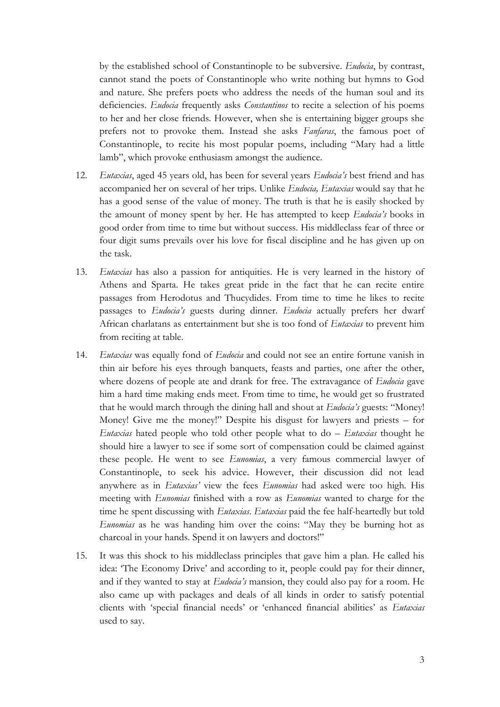by the established school of Constantinople to be subversive. *Eudocia*, by contrast, cannot stand the poets of Constantinople who write nothing but hymns to God and nature. She prefers poets who address the needs of the human soul and its deficiencies. *Eudocia* frequently asks *Constantinos* to recite a selection of his poems to her and her close friends. However, when she is entertaining bigger groups she prefers not to provoke them. Instead she asks *Fanfaras*, the famous poet of Constantinople, to recite his most popular poems, including "Mary had a little lamb", which provoke enthusiasm amongst the audience.

- 12. *Eutaxias*, aged 45 years old, has been for several years *Eudocia's* best friend and has accompanied her on several of her trips. Unlike *Eudocia, Eutaxias* would say that he has a good sense of the value of money. The truth is that he is easily shocked by the amount of money spent by her. He has attempted to keep *Eudocia's* books in good order from time to time but without success. His middleclass fear of three or four digit sums prevails over his love for fiscal discipline and he has given up on the task.
- 13. *Eutaxias* has also a passion for antiquities. He is very learned in the history of Athens and Sparta. He takes great pride in the fact that he can recite entire passages from Herodotus and Thucydides. From time to time he likes to recite passages to *Eudocia's* guests during dinner. *Eudocia* actually prefers her dwarf African charlatans as entertainment but she is too fond of *Eutaxias* to prevent him from reciting at table.
- 14. *Eutaxias* was equally fond of *Eudocia* and could not see an entire fortune vanish in thin air before his eyes through banquets, feasts and parties, one after the other, where dozens of people ate and drank for free. The extravagance of *Eudocia* gave him a hard time making ends meet. From time to time, he would get so frustrated that he would march through the dining hall and shout at *Eudocia's* guests: "Money! Money! Give me the money!" Despite his disgust for lawyers and priests – for *Eutaxias* hated people who told other people what to do – *Eutaxias* thought he should hire a lawyer to see if some sort of compensation could be claimed against these people. He went to see *Eunomias*, a very famous commercial lawyer of Constantinople, to seek his advice. However, their discussion did not lead anywhere as in *Eutaxias'* view the fees *Eunomias* had asked were too high. His meeting with *Eunomias* finished with a row as *Eunomias* wanted to charge for the time he spent discussing with *Eutaxias*. *Eutaxias* paid the fee half-heartedly but told *Eunomias* as he was handing him over the coins: "May they be burning hot as charcoal in your hands. Spend it on lawyers and doctors!"
- 15. It was this shock to his middleclass principles that gave him a plan. He called his idea: "The Economy Drive" and according to it, people could pay for their dinner, and if they wanted to stay at *Eudocia's* mansion, they could also pay for a room. He also came up with packages and deals of all kinds in order to satisfy potential clients with "special financial needs" or "enhanced financial abilities" as *Eutaxias*  used to say.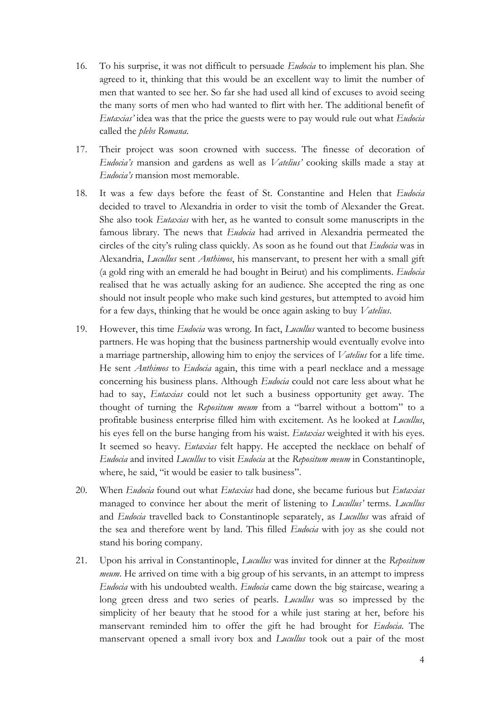- 16. To his surprise, it was not difficult to persuade *Eudocia* to implement his plan. She agreed to it, thinking that this would be an excellent way to limit the number of men that wanted to see her. So far she had used all kind of excuses to avoid seeing the many sorts of men who had wanted to flirt with her. The additional benefit of *Eutaxias'* idea was that the price the guests were to pay would rule out what *Eudocia*  called the *plebs Romana*.
- 17. Their project was soon crowned with success. The finesse of decoration of *Eudocia's* mansion and gardens as well as *Vatelius'* cooking skills made a stay at *Eudocia's* mansion most memorable.
- 18. It was a few days before the feast of St. Constantine and Helen that *Eudocia*  decided to travel to Alexandria in order to visit the tomb of Alexander the Great. She also took *Eutaxias* with her, as he wanted to consult some manuscripts in the famous library. The news that *Eudocia* had arrived in Alexandria permeated the circles of the city"s ruling class quickly. As soon as he found out that *Eudocia* was in Alexandria, *Lucullus* sent *Anthimos*, his manservant, to present her with a small gift (a gold ring with an emerald he had bought in Beirut) and his compliments. *Eudocia*  realised that he was actually asking for an audience. She accepted the ring as one should not insult people who make such kind gestures, but attempted to avoid him for a few days, thinking that he would be once again asking to buy *Vatelius*.
- 19. However, this time *Eudocia* was wrong. In fact, *Lucullus* wanted to become business partners. He was hoping that the business partnership would eventually evolve into a marriage partnership, allowing him to enjoy the services of *Vatelius* for a life time. He sent *Anthimos* to *Eudocia* again, this time with a pearl necklace and a message concerning his business plans. Although *Eudocia* could not care less about what he had to say, *Eutaxias* could not let such a business opportunity get away. The thought of turning the *Repositum meum* from a "barrel without a bottom" to a profitable business enterprise filled him with excitement. As he looked at *Lucullus*, his eyes fell on the burse hanging from his waist. *Eutaxias* weighted it with his eyes. It seemed so heavy. *Eutaxias* felt happy. He accepted the necklace on behalf of *Eudocia* and invited *Lucullus* to visit *Eudocia* at the *Repositum meum* in Constantinople, where, he said, "it would be easier to talk business".
- 20. When *Eudocia* found out what *Eutaxias* had done, she became furious but *Eutaxias*  managed to convince her about the merit of listening to *Lucullus'* terms. *Lucullus*  and *Eudocia* travelled back to Constantinople separately, as *Lucullus* was afraid of the sea and therefore went by land. This filled *Eudocia* with joy as she could not stand his boring company.
- 21. Upon his arrival in Constantinople, *Lucullus* was invited for dinner at the *Repositum meum*. He arrived on time with a big group of his servants, in an attempt to impress *Eudocia* with his undoubted wealth. *Eudocia* came down the big staircase, wearing a long green dress and two series of pearls. *Lucullus* was so impressed by the simplicity of her beauty that he stood for a while just staring at her, before his manservant reminded him to offer the gift he had brought for *Eudocia*. The manservant opened a small ivory box and *Lucullus* took out a pair of the most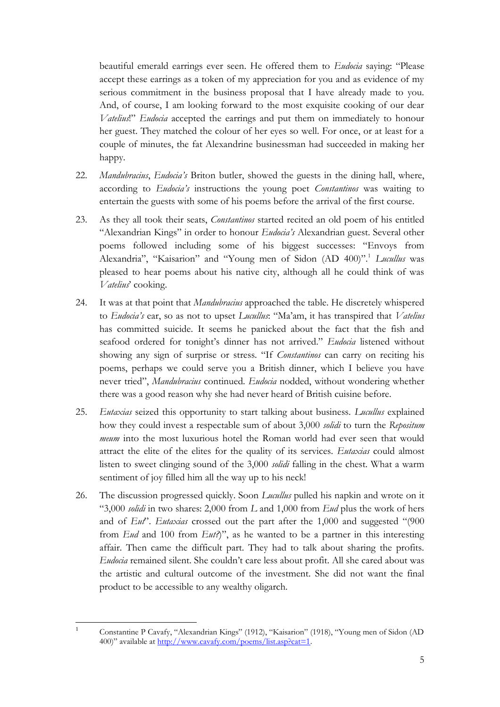beautiful emerald earrings ever seen. He offered them to *Eudocia* saying: "Please accept these earrings as a token of my appreciation for you and as evidence of my serious commitment in the business proposal that I have already made to you. And, of course, I am looking forward to the most exquisite cooking of our dear *Vatelius*!" *Eudocia* accepted the earrings and put them on immediately to honour her guest. They matched the colour of her eyes so well. For once, or at least for a couple of minutes, the fat Alexandrine businessman had succeeded in making her happy.

- 22. *Mandubracius*, *Eudocia's* Briton butler, showed the guests in the dining hall, where, according to *Eudocia's* instructions the young poet *Constantinos* was waiting to entertain the guests with some of his poems before the arrival of the first course.
- 23. As they all took their seats, *Constantinos* started recited an old poem of his entitled "Alexandrian Kings" in order to honour *Eudocia's* Alexandrian guest. Several other poems followed including some of his biggest successes: "Envoys from Alexandria", "Kaisarion" and "Young men of Sidon (AD 400)".<sup>1</sup> *Lucullus* was pleased to hear poems about his native city, although all he could think of was Vatelius' cooking.
- 24. It was at that point that *Mandubracius* approached the table. He discretely whispered to *Eudocia's* ear, so as not to upset *Lucullus*: "Ma"am, it has transpired that *Vatelius*  has committed suicide. It seems he panicked about the fact that the fish and seafood ordered for tonight"s dinner has not arrived." *Eudocia* listened without showing any sign of surprise or stress. "If *Constantinos* can carry on reciting his poems, perhaps we could serve you a British dinner, which I believe you have never tried", *Mandubracius* continued. *Eudocia* nodded, without wondering whether there was a good reason why she had never heard of British cuisine before.
- 25. *Eutaxias* seized this opportunity to start talking about business. *Lucullus* explained how they could invest a respectable sum of about 3,000 *solidi* to turn the *Repositum meum* into the most luxurious hotel the Roman world had ever seen that would attract the elite of the elites for the quality of its services. *Eutaxias* could almost listen to sweet clinging sound of the 3,000 *solidi* falling in the chest. What a warm sentiment of joy filled him all the way up to his neck!
- 26. The discussion progressed quickly. Soon *Lucullus* pulled his napkin and wrote on it "3,000 *solidi* in two shares: 2,000 from *L* and 1,000 from *Eud* plus the work of hers and of *Eut*". *Eutaxias* crossed out the part after the 1,000 and suggested "(900 from *Eud* and 100 from *Eut?*)", as he wanted to be a partner in this interesting affair. Then came the difficult part. They had to talk about sharing the profits. *Eudocia* remained silent. She couldn"t care less about profit. All she cared about was the artistic and cultural outcome of the investment. She did not want the final product to be accessible to any wealthy oligarch.

 $\overline{1}$ 

<sup>1</sup> Constantine P Cavafy, "Alexandrian Kings" (1912), "Kaisarion" (1918), "Young men of Sidon (AD 400)" available at [http://www.cavafy.com/poems/list.asp?cat=1.](http://www.cavafy.com/poems/list.asp?cat=1)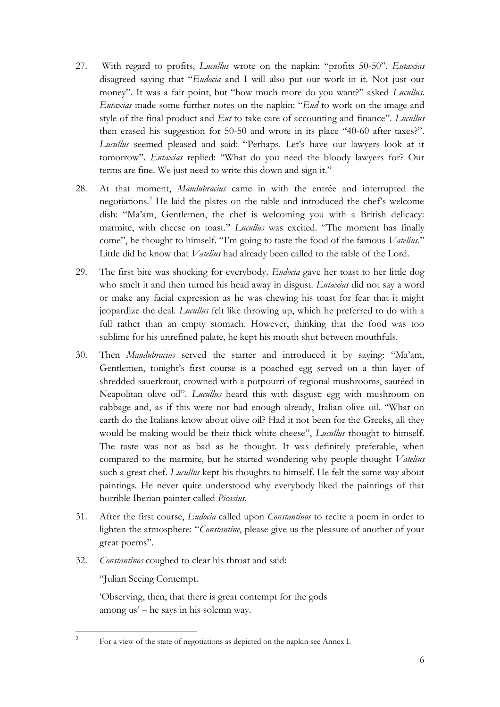- 27. With regard to profits, *Lucullus* wrote on the napkin: "profits 50-50". *Eutaxias*  disagreed saying that "*Eudocia* and I will also put our work in it. Not just our money". It was a fair point, but "how much more do you want?" asked *Lucullus*. *Eutaxias* made some further notes on the napkin: "*Eud* to work on the image and style of the final product and *Eut* to take care of accounting and finance". *Lucullus*  then erased his suggestion for 50-50 and wrote in its place "40-60 after taxes?". *Lucullus* seemed pleased and said: "Perhaps. Let's have our lawyers look at it tomorrow". *Eutaxias* replied: "What do you need the bloody lawyers for? Our terms are fine. We just need to write this down and sign it."
- 28. At that moment, *Mandubracius* came in with the entrée and interrupted the negotiations.<sup>2</sup> He laid the plates on the table and introduced the che $\mathsf{fs}$  welcome dish: "Ma'am, Gentlemen, the chef is welcoming you with a British delicacy: marmite, with cheese on toast." *Lucullus* was excited. "The moment has finally come", he thought to himself. "I"m going to taste the food of the famous *Vatelius*." Little did he know that *Vatelius* had already been called to the table of the Lord.
- 29. The first bite was shocking for everybody. *Eudocia* gave her toast to her little dog who smelt it and then turned his head away in disgust. *Eutaxias* did not say a word or make any facial expression as he was chewing his toast for fear that it might jeopardize the deal. *Lucullus* felt like throwing up, which he preferred to do with a full rather than an empty stomach. However, thinking that the food was too sublime for his unrefined palate, he kept his mouth shut between mouthfuls.
- 30. Then *Mandubracius* served the starter and introduced it by saying: "Ma"am, Gentlemen, tonight's first course is a poached egg served on a thin layer of shredded sauerkraut, crowned with a potpourri of regional mushrooms, sautéed in Neapolitan olive oil". *Lucullus* heard this with disgust: egg with mushroom on cabbage and, as if this were not bad enough already, Italian olive oil. "What on earth do the Italians know about olive oil? Had it not been for the Greeks, all they would be making would be their thick white cheese", *Lucullus* thought to himself. The taste was not as bad as he thought. It was definitely preferable, when compared to the marmite, but he started wondering why people thought *Vatelius*  such a great chef. *Lucullus* kept his thoughts to himself. He felt the same way about paintings. He never quite understood why everybody liked the paintings of that horrible Iberian painter called *Picasius*.
- 31. After the first course, *Eudocia* called upon *Constantinos* to recite a poem in order to lighten the atmosphere: "*Constantine*, please give us the pleasure of another of your great poems".
- 32. *Constantinos* coughed to clear his throat and said:

"Julian Seeing Contempt.

 $\frac{1}{2}$ 

"Observing, then, that there is great contempt for the gods among us" – he says in his solemn way.

For a view of the state of negotiations as depicted on the napkin see Annex I.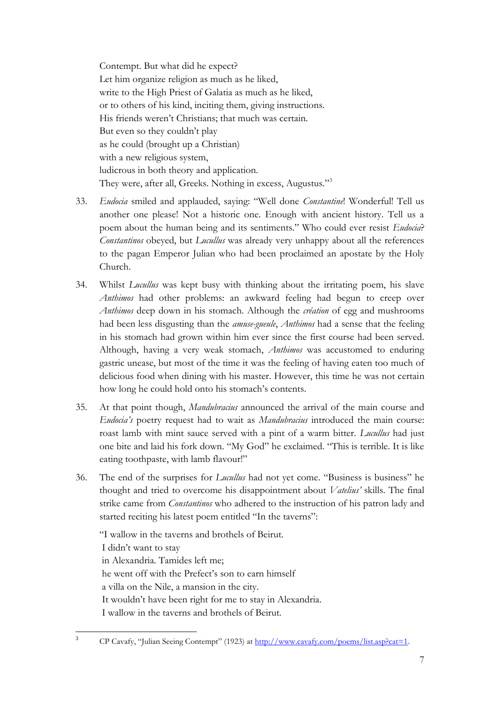Contempt. But what did he expect? Let him organize religion as much as he liked, write to the High Priest of Galatia as much as he liked, or to others of his kind, inciting them, giving instructions. His friends weren"t Christians; that much was certain. But even so they couldn"t play as he could (brought up a Christian) with a new religious system, ludicrous in both theory and application. They were, after all, Greeks. Nothing in excess, Augustus."3

- 33. *Eudocia* smiled and applauded, saying: "Well done *Constantine*! Wonderful! Tell us another one please! Not a historic one. Enough with ancient history. Tell us a poem about the human being and its sentiments." Who could ever resist *Eudocia*? *Constantinos* obeyed, but *Lucullus* was already very unhappy about all the references to the pagan Emperor Julian who had been proclaimed an apostate by the Holy Church.
- 34. Whilst *Lucullus* was kept busy with thinking about the irritating poem, his slave *Anthimos* had other problems: an awkward feeling had begun to creep over *Anthimos* deep down in his stomach. Although the *création* of egg and mushrooms had been less disgusting than the *amuse-gueule*, *Anthimos* had a sense that the feeling in his stomach had grown within him ever since the first course had been served. Although, having a very weak stomach, *Anthimos* was accustomed to enduring gastric unease, but most of the time it was the feeling of having eaten too much of delicious food when dining with his master. However, this time he was not certain how long he could hold onto his stomach's contents.
- 35. At that point though, *Mandubracius* announced the arrival of the main course and *Eudocia's* poetry request had to wait as *Mandubracius* introduced the main course: roast lamb with mint sauce served with a pint of a warm bitter. *Lucullus* had just one bite and laid his fork down. "My God" he exclaimed. "This is terrible. It is like eating toothpaste, with lamb flavour!"
- 36. The end of the surprises for *Lucullus* had not yet come. "Business is business" he thought and tried to overcome his disappointment about *Vatelius'* skills. The final strike came from *Constantinos* who adhered to the instruction of his patron lady and started reciting his latest poem entitled "In the taverns":

"I wallow in the taverns and brothels of Beirut. I didn"t want to stay in Alexandria. Tamides left me; he went off with the Prefect's son to earn himself a villa on the Nile, a mansion in the city. It wouldn"t have been right for me to stay in Alexandria. I wallow in the taverns and brothels of Beirut.

 $\overline{3}$ 

<sup>3</sup> CP Cavafy, "Julian Seeing Contempt" (1923) at [http://www.cavafy.com/poems/list.asp?cat=1.](http://www.cavafy.com/poems/list.asp?cat=1)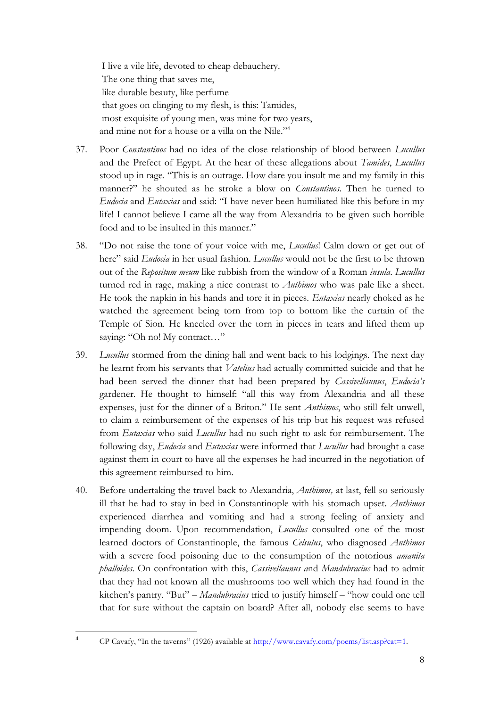I live a vile life, devoted to cheap debauchery. The one thing that saves me, like durable beauty, like perfume that goes on clinging to my flesh, is this: Tamides, most exquisite of young men, was mine for two years, and mine not for a house or a villa on the Nile."<sup>4</sup>

- 37. Poor *Constantinos* had no idea of the close relationship of blood between *Lucullus*  and the Prefect of Egypt. At the hear of these allegations about *Tamides*, *Lucullus*  stood up in rage. "This is an outrage. How dare you insult me and my family in this manner?" he shouted as he stroke a blow on *Constantinos*. Then he turned to *Eudocia* and *Eutaxias* and said: "I have never been humiliated like this before in my life! I cannot believe I came all the way from Alexandria to be given such horrible food and to be insulted in this manner."
- 38. "Do not raise the tone of your voice with me, *Lucullus*! Calm down or get out of here" said *Eudocia* in her usual fashion. *Lucullus* would not be the first to be thrown out of the *Repositum meum* like rubbish from the window of a Roman *insula*. *Lucullus*  turned red in rage, making a nice contrast to *Anthimos* who was pale like a sheet. He took the napkin in his hands and tore it in pieces. *Eutaxias* nearly choked as he watched the agreement being torn from top to bottom like the curtain of the Temple of Sion. He kneeled over the torn in pieces in tears and lifted them up saying: "Oh no! My contract…"
- 39. *Lucullus* stormed from the dining hall and went back to his lodgings. The next day he learnt from his servants that *Vatelius* had actually committed suicide and that he had been served the dinner that had been prepared by *Cassivellaunus*, *Eudocia's*  gardener. He thought to himself: "all this way from Alexandria and all these expenses, just for the dinner of a Briton." He sent *Anthimos*, who still felt unwell, to claim a reimbursement of the expenses of his trip but his request was refused from *Eutaxias* who said *Lucullus* had no such right to ask for reimbursement. The following day, *Eudocia* and *Eutaxias* were informed that *Lucullus* had brought a case against them in court to have all the expenses he had incurred in the negotiation of this agreement reimbursed to him.
- 40. Before undertaking the travel back to Alexandria, *Anthimos,* at last, fell so seriously ill that he had to stay in bed in Constantinople with his stomach upset. *Anthimos*  experienced diarrhea and vomiting and had a strong feeling of anxiety and impending doom. Upon recommendation, *Lucullus* consulted one of the most learned doctors of Constantinople, the famous *Celsulus*, who diagnosed *Anthimos* with a severe food poisoning due to the consumption of the notorious *amanita phalloides*. On confrontation with this, *Cassivellaunus a*nd *Mandubracius* had to admit that they had not known all the mushrooms too well which they had found in the kitchen"s pantry. "But" – *Mandubracius* tried to justify himself – "how could one tell that for sure without the captain on board? After all, nobody else seems to have

 $\overline{4}$ 

CP Cavafy, "In the taverns" (1926) available at [http://www.cavafy.com/poems/list.asp?cat=1.](http://www.cavafy.com/poems/list.asp?cat=1)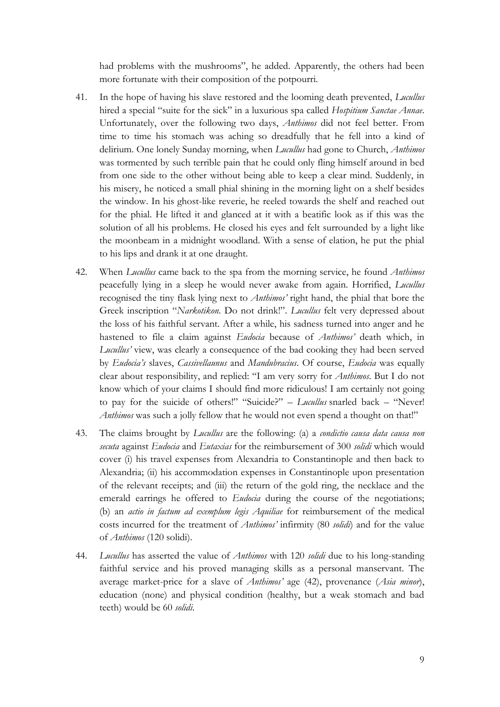had problems with the mushrooms", he added. Apparently, the others had been more fortunate with their composition of the potpourri.

- 41. In the hope of having his slave restored and the looming death prevented, *Lucullus* hired a special "suite for the sick" in a luxurious spa called *Hospitium Sanctae Annae*. Unfortunately, over the following two days, *Anthimos* did not feel better. From time to time his stomach was aching so dreadfully that he fell into a kind of delirium. One lonely Sunday morning, when *Lucullus* had gone to Church, *Anthimos* was tormented by such terrible pain that he could only fling himself around in bed from one side to the other without being able to keep a clear mind. Suddenly, in his misery, he noticed a small phial shining in the morning light on a shelf besides the window. In his ghost-like reverie, he reeled towards the shelf and reached out for the phial. He lifted it and glanced at it with a beatific look as if this was the solution of all his problems. He closed his eyes and felt surrounded by a light like the moonbeam in a midnight woodland. With a sense of elation, he put the phial to his lips and drank it at one draught.
- 42. When *Lucullus* came back to the spa from the morning service, he found *Anthimos* peacefully lying in a sleep he would never awake from again. Horrified, *Lucullus* recognised the tiny flask lying next to *Anthimos'* right hand, the phial that bore the Greek inscription "*Narkotikon*. Do not drink!". *Lucullus* felt very depressed about the loss of his faithful servant. After a while, his sadness turned into anger and he hastened to file a claim against *Eudocia* because of *Anthimos'* death which, in *Lucullus'* view, was clearly a consequence of the bad cooking they had been served by *Eudocia's* slaves, *Cassivellaunus* and *Mandubracius*. Of course, *Eudocia* was equally clear about responsibility, and replied: "I am very sorry for *Anthimos*. But I do not know which of your claims I should find more ridiculous! I am certainly not going to pay for the suicide of others!" "Suicide?" – *Lucullus* snarled back – "Never! *Anthimos* was such a jolly fellow that he would not even spend a thought on that!"
- 43. The claims brought by *Lucullus* are the following: (a) a *condictio causa data causa non secuta* against *Eudocia* and *Eutaxias* for the reimbursement of 300 *solidi* which would cover (i) his travel expenses from Alexandria to Constantinople and then back to Alexandria; (ii) his accommodation expenses in Constantinople upon presentation of the relevant receipts; and (iii) the return of the gold ring, the necklace and the emerald earrings he offered to *Eudocia* during the course of the negotiations; (b) an *actio in factum ad exemplum legis Aquiliae* for reimbursement of the medical costs incurred for the treatment of *Anthimos'* infirmity (80 *solidi*) and for the value of *Anthimos* (120 solidi).
- 44. *Lucullus* has asserted the value of *Anthimos* with 120 *solidi* due to his long-standing faithful service and his proved managing skills as a personal manservant. The average market-price for a slave of *Anthimos'* age (42), provenance (*Asia minor*), education (none) and physical condition (healthy, but a weak stomach and bad teeth) would be 60 *solidi*.